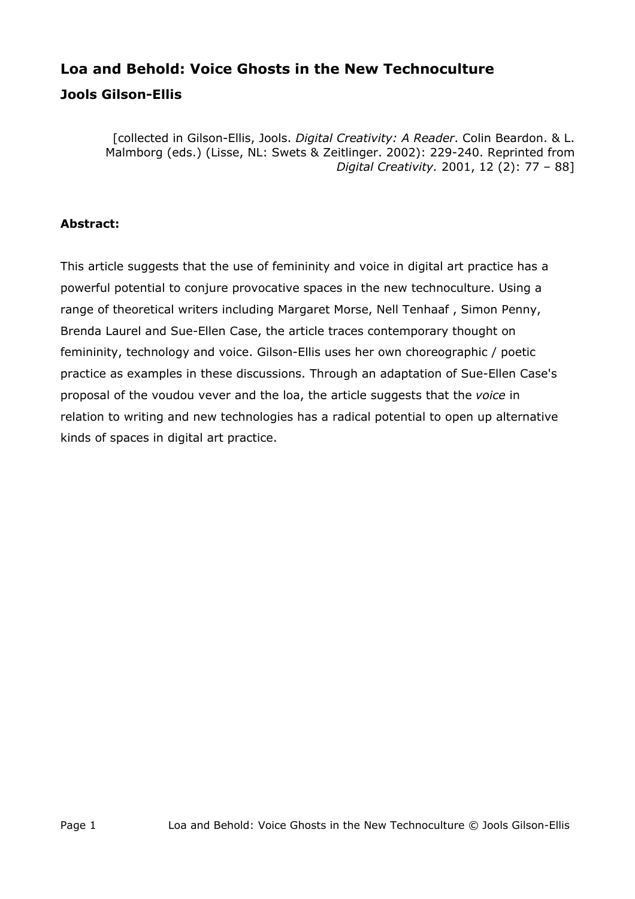## **Loa and Behold: Voice Ghosts in the New Technoculture Jools Gilson-Ellis**

[collected in Gilson-Ellis, Jools. *Digital Creativity: A Reader*. Colin Beardon. & L. Malmborg (eds.) (Lisse, NL: Swets & Zeitlinger. 2002): 229-240. Reprinted from *Digital Creativity.* 2001, 12 (2): 77 – 88]

## **Abstract:**

This article suggests that the use of femininity and voice in digital art practice has a powerful potential to conjure provocative spaces in the new technoculture. Using a range of theoretical writers including Margaret Morse, Nell Tenhaaf , Simon Penny, Brenda Laurel and Sue-Ellen Case, the article traces contemporary thought on femininity, technology and voice. Gilson-Ellis uses her own choreographic / poetic practice as examples in these discussions. Through an adaptation of Sue-Ellen Case's proposal of the voudou vever and the loa, the article suggests that the *voice* in relation to writing and new technologies has a radical potential to open up alternative kinds of spaces in digital art practice.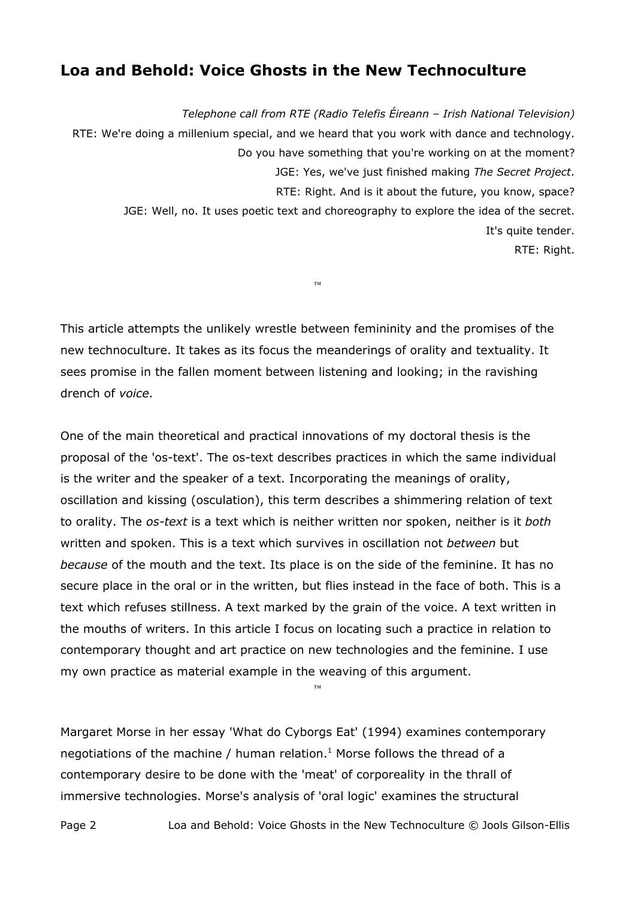## **Loa and Behold: Voice Ghosts in the New Technoculture**

*Telephone call from RTE (Radio Telefis Éireann – Irish National Television)* RTE: We're doing a millenium special, and we heard that you work with dance and technology. Do you have something that you're working on at the moment? JGE: Yes, we've just finished making *The Secret Project*. RTE: Right. And is it about the future, you know, space? JGE: Well, no. It uses poetic text and choreography to explore the idea of the secret. It's quite tender. RTE: Right.

This article attempts the unlikely wrestle between femininity and the promises of the new technoculture. It takes as its focus the meanderings of orality and textuality. It sees promise in the fallen moment between listening and looking; in the ravishing drench of *voice*.

**TM** 

One of the main theoretical and practical innovations of my doctoral thesis is the proposal of the 'os-text'. The os-text describes practices in which the same individual is the writer and the speaker of a text. Incorporating the meanings of orality, oscillation and kissing (osculation), this term describes a shimmering relation of text to orality. The *os-text* is a text which is neither written nor spoken, neither is it *both* written and spoken. This is a text which survives in oscillation not *between* but *because* of the mouth and the text. Its place is on the side of the feminine. It has no secure place in the oral or in the written, but flies instead in the face of both. This is a text which refuses stillness. A text marked by the grain of the voice. A text written in the mouths of writers. In this article I focus on locating such a practice in relation to contemporary thought and art practice on new technologies and the feminine. I use my own practice as material example in the weaving of this argument.

**TM** 

Margaret Morse in her essay 'What do Cyborgs Eat' (1994) examines contemporary negotiations of the machine / human relation. $1$  Morse follows the thread of a contemporary desire to be done with the 'meat' of corporeality in the thrall of immersive technologies. Morse's analysis of 'oral logic' examines the structural

Page 2 Loa and Behold: Voice Ghosts in the New Technoculture © Jools Gilson-Ellis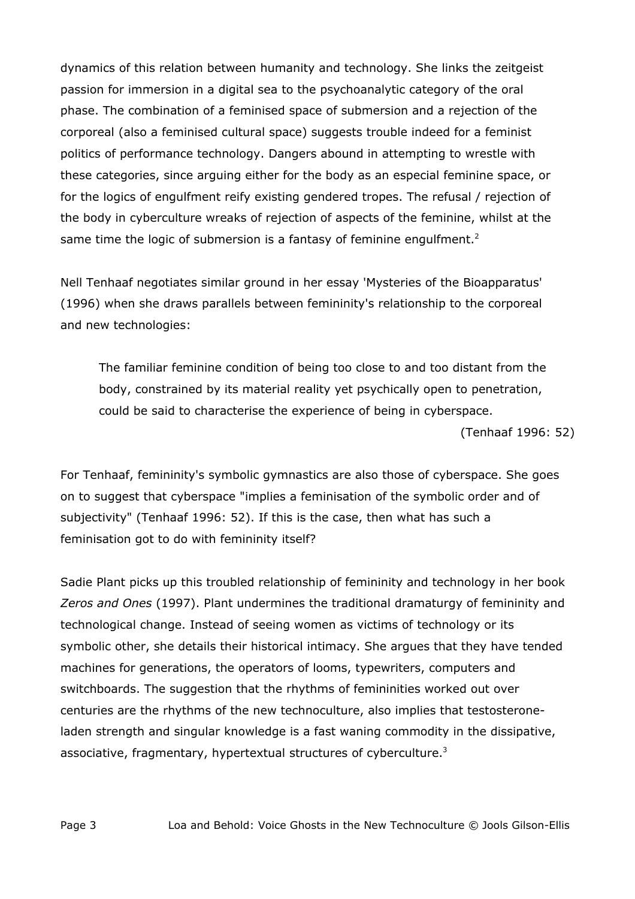dynamics of this relation between humanity and technology. She links the zeitgeist passion for immersion in a digital sea to the psychoanalytic category of the oral phase. The combination of a feminised space of submersion and a rejection of the corporeal (also a feminised cultural space) suggests trouble indeed for a feminist politics of performance technology. Dangers abound in attempting to wrestle with these categories, since arguing either for the body as an especial feminine space, or for the logics of engulfment reify existing gendered tropes. The refusal / rejection of the body in cyberculture wreaks of rejection of aspects of the feminine, whilst at the same time the logic of submersion is a fantasy of feminine engulfment.<sup>2</sup>

Nell Tenhaaf negotiates similar ground in her essay 'Mysteries of the Bioapparatus' (1996) when she draws parallels between femininity's relationship to the corporeal and new technologies:

The familiar feminine condition of being too close to and too distant from the body, constrained by its material reality yet psychically open to penetration, could be said to characterise the experience of being in cyberspace.

(Tenhaaf 1996: 52)

For Tenhaaf, femininity's symbolic gymnastics are also those of cyberspace. She goes on to suggest that cyberspace "implies a feminisation of the symbolic order and of subjectivity" (Tenhaaf 1996: 52). If this is the case, then what has such a feminisation got to do with femininity itself?

Sadie Plant picks up this troubled relationship of femininity and technology in her book *Zeros and Ones* (1997). Plant undermines the traditional dramaturgy of femininity and technological change. Instead of seeing women as victims of technology or its symbolic other, she details their historical intimacy. She argues that they have tended machines for generations, the operators of looms, typewriters, computers and switchboards. The suggestion that the rhythms of femininities worked out over centuries are the rhythms of the new technoculture, also implies that testosteroneladen strength and singular knowledge is a fast waning commodity in the dissipative, associative, fragmentary, hypertextual structures of cyberculture.<sup>3</sup>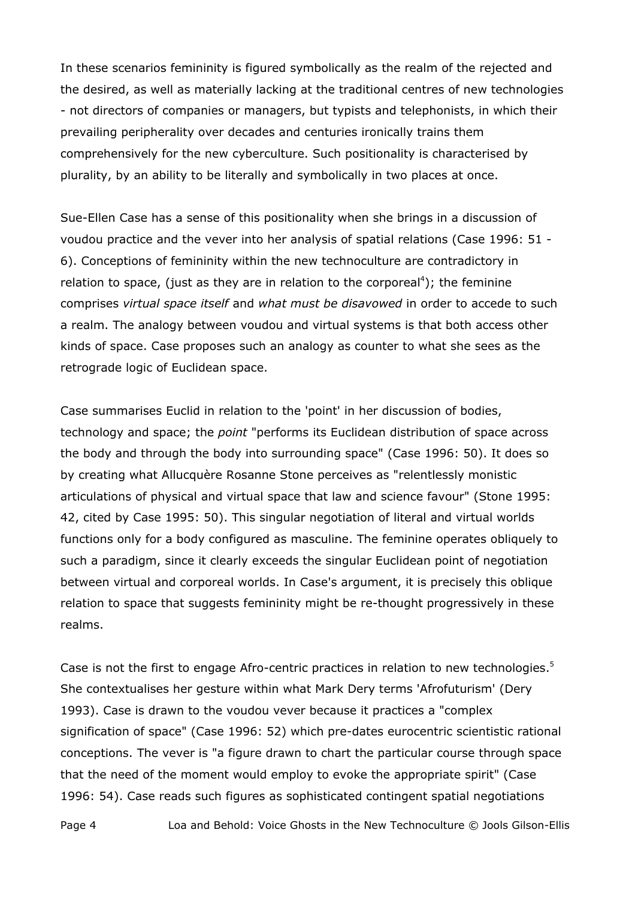In these scenarios femininity is figured symbolically as the realm of the rejected and the desired, as well as materially lacking at the traditional centres of new technologies - not directors of companies or managers, but typists and telephonists, in which their prevailing peripherality over decades and centuries ironically trains them comprehensively for the new cyberculture. Such positionality is characterised by plurality, by an ability to be literally and symbolically in two places at once.

Sue-Ellen Case has a sense of this positionality when she brings in a discussion of voudou practice and the vever into her analysis of spatial relations (Case 1996: 51 - 6). Conceptions of femininity within the new technoculture are contradictory in relation to space, (just as they are in relation to the corporeal<sup>4</sup>); the feminine comprises *virtual space itself* and *what must be disavowed* in order to accede to such a realm. The analogy between voudou and virtual systems is that both access other kinds of space. Case proposes such an analogy as counter to what she sees as the retrograde logic of Euclidean space.

Case summarises Euclid in relation to the 'point' in her discussion of bodies, technology and space; the *point* "performs its Euclidean distribution of space across the body and through the body into surrounding space" (Case 1996: 50). It does so by creating what Allucquère Rosanne Stone perceives as "relentlessly monistic articulations of physical and virtual space that law and science favour" (Stone 1995: 42, cited by Case 1995: 50). This singular negotiation of literal and virtual worlds functions only for a body configured as masculine. The feminine operates obliquely to such a paradigm, since it clearly exceeds the singular Euclidean point of negotiation between virtual and corporeal worlds. In Case's argument, it is precisely this oblique relation to space that suggests femininity might be re-thought progressively in these realms.

Case is not the first to engage Afro-centric practices in relation to new technologies.<sup>5</sup> She contextualises her gesture within what Mark Dery terms 'Afrofuturism' (Dery 1993). Case is drawn to the voudou vever because it practices a "complex signification of space" (Case 1996: 52) which pre-dates eurocentric scientistic rational conceptions. The vever is "a figure drawn to chart the particular course through space that the need of the moment would employ to evoke the appropriate spirit" (Case 1996: 54). Case reads such figures as sophisticated contingent spatial negotiations

Page 4 Loa and Behold: Voice Ghosts in the New Technoculture © Jools Gilson-Ellis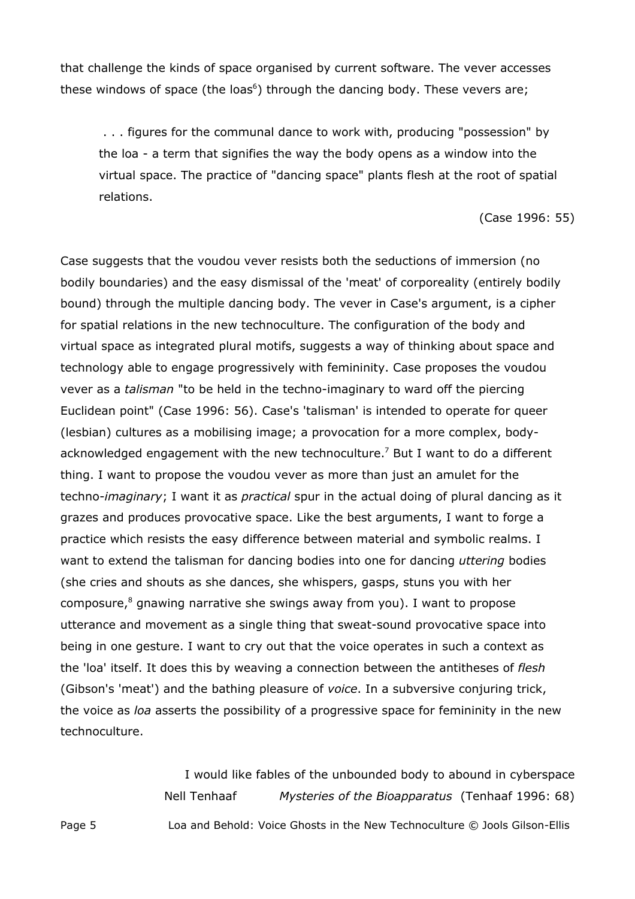that challenge the kinds of space organised by current software. The vever accesses these windows of space (the loas $6$ ) through the dancing body. These vevers are;

 . . . figures for the communal dance to work with, producing "possession" by the loa - a term that signifies the way the body opens as a window into the virtual space. The practice of "dancing space" plants flesh at the root of spatial relations.

(Case 1996: 55)

Case suggests that the voudou vever resists both the seductions of immersion (no bodily boundaries) and the easy dismissal of the 'meat' of corporeality (entirely bodily bound) through the multiple dancing body. The vever in Case's argument, is a cipher for spatial relations in the new technoculture. The configuration of the body and virtual space as integrated plural motifs, suggests a way of thinking about space and technology able to engage progressively with femininity. Case proposes the voudou vever as a *talisman* "to be held in the techno-imaginary to ward off the piercing Euclidean point" (Case 1996: 56). Case's 'talisman' is intended to operate for queer (lesbian) cultures as a mobilising image; a provocation for a more complex, bodyacknowledged engagement with the new technoculture.<sup>7</sup> But I want to do a different thing. I want to propose the voudou vever as more than just an amulet for the techno-*imaginary*; I want it as *practical* spur in the actual doing of plural dancing as it grazes and produces provocative space. Like the best arguments, I want to forge a practice which resists the easy difference between material and symbolic realms. I want to extend the talisman for dancing bodies into one for dancing *uttering* bodies (she cries and shouts as she dances, she whispers, gasps, stuns you with her composure, ${}^{8}$  gnawing narrative she swings away from you). I want to propose utterance and movement as a single thing that sweat-sound provocative space into being in one gesture. I want to cry out that the voice operates in such a context as the 'loa' itself. It does this by weaving a connection between the antitheses of *flesh* (Gibson's 'meat') and the bathing pleasure of *voice*. In a subversive conjuring trick, the voice as *loa* asserts the possibility of a progressive space for femininity in the new technoculture.

Page 5 Loa and Behold: Voice Ghosts in the New Technoculture © Jools Gilson-Ellis I would like fables of the unbounded body to abound in cyberspace Nell Tenhaaf *Mysteries of the Bioapparatus* (Tenhaaf 1996: 68)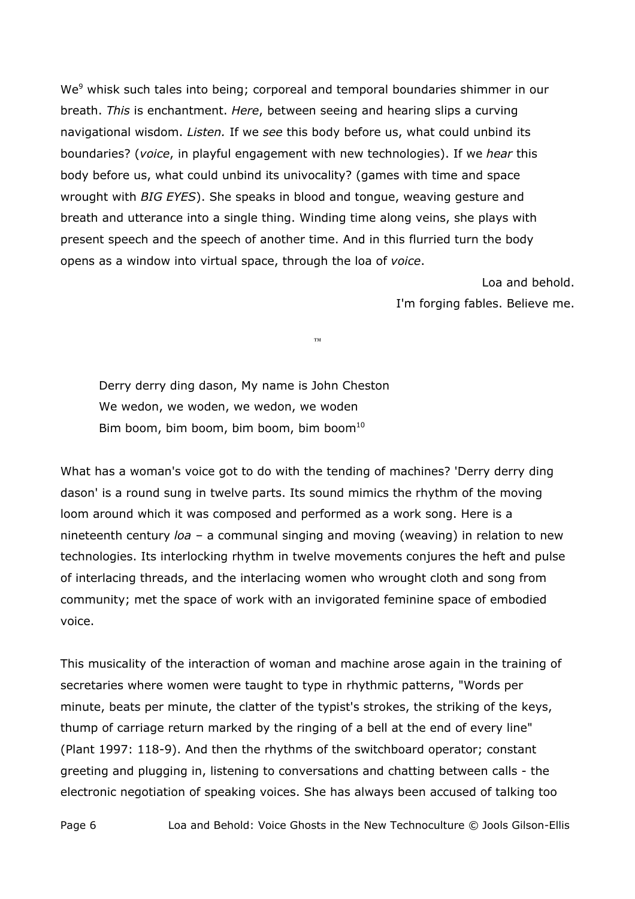We<sup>9</sup> whisk such tales into being; corporeal and temporal boundaries shimmer in our breath. *This* is enchantment. *Here*, between seeing and hearing slips a curving navigational wisdom. *Listen.* If we *see* this body before us, what could unbind its boundaries? (*voice*, in playful engagement with new technologies). If we *hear* this body before us, what could unbind its univocality? (games with time and space wrought with *BIG EYES*). She speaks in blood and tongue, weaving gesture and breath and utterance into a single thing. Winding time along veins, she plays with present speech and the speech of another time. And in this flurried turn the body opens as a window into virtual space, through the loa of *voice*.

**TM** 

Loa and behold. I'm forging fables. Believe me.

Derry derry ding dason, My name is John Cheston We wedon, we woden, we wedon, we woden Bim boom, bim boom, bim boom, bim boom $10<sup>10</sup>$ 

What has a woman's voice got to do with the tending of machines? 'Derry derry ding dason' is a round sung in twelve parts. Its sound mimics the rhythm of the moving loom around which it was composed and performed as a work song. Here is a nineteenth century *loa* – a communal singing and moving (weaving) in relation to new technologies. Its interlocking rhythm in twelve movements conjures the heft and pulse of interlacing threads, and the interlacing women who wrought cloth and song from community; met the space of work with an invigorated feminine space of embodied voice.

This musicality of the interaction of woman and machine arose again in the training of secretaries where women were taught to type in rhythmic patterns, "Words per minute, beats per minute, the clatter of the typist's strokes, the striking of the keys, thump of carriage return marked by the ringing of a bell at the end of every line" (Plant 1997: 118-9). And then the rhythms of the switchboard operator; constant greeting and plugging in, listening to conversations and chatting between calls - the electronic negotiation of speaking voices. She has always been accused of talking too

Page 6 Loa and Behold: Voice Ghosts in the New Technoculture © Jools Gilson-Ellis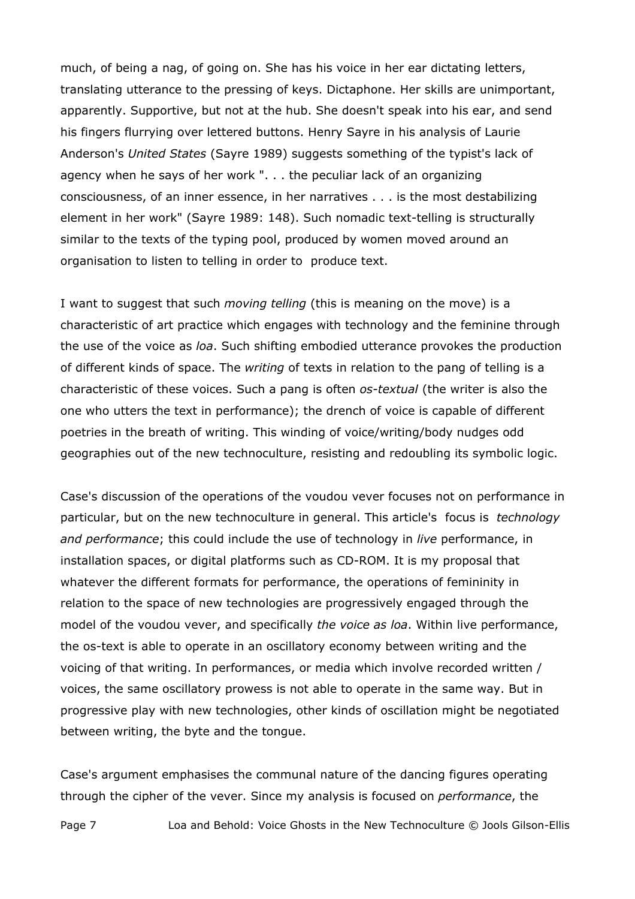much, of being a nag, of going on. She has his voice in her ear dictating letters, translating utterance to the pressing of keys. Dictaphone. Her skills are unimportant, apparently. Supportive, but not at the hub. She doesn't speak into his ear, and send his fingers flurrying over lettered buttons. Henry Sayre in his analysis of Laurie Anderson's *United States* (Sayre 1989) suggests something of the typist's lack of agency when he says of her work ". . . the peculiar lack of an organizing consciousness, of an inner essence, in her narratives . . . is the most destabilizing element in her work" (Sayre 1989: 148). Such nomadic text-telling is structurally similar to the texts of the typing pool, produced by women moved around an organisation to listen to telling in order to produce text.

I want to suggest that such *moving telling* (this is meaning on the move) is a characteristic of art practice which engages with technology and the feminine through the use of the voice as *loa*. Such shifting embodied utterance provokes the production of different kinds of space. The *writing* of texts in relation to the pang of telling is a characteristic of these voices. Such a pang is often *os-textual* (the writer is also the one who utters the text in performance); the drench of voice is capable of different poetries in the breath of writing. This winding of voice/writing/body nudges odd geographies out of the new technoculture, resisting and redoubling its symbolic logic.

Case's discussion of the operations of the voudou vever focuses not on performance in particular, but on the new technoculture in general. This article's focus is *technology and performance*; this could include the use of technology in *live* performance, in installation spaces, or digital platforms such as CD-ROM. It is my proposal that whatever the different formats for performance, the operations of femininity in relation to the space of new technologies are progressively engaged through the model of the voudou vever, and specifically *the voice as loa*. Within live performance, the os-text is able to operate in an oscillatory economy between writing and the voicing of that writing. In performances, or media which involve recorded written / voices, the same oscillatory prowess is not able to operate in the same way. But in progressive play with new technologies, other kinds of oscillation might be negotiated between writing, the byte and the tongue.

Case's argument emphasises the communal nature of the dancing figures operating through the cipher of the vever. Since my analysis is focused on *performance*, the

Page 7 Loa and Behold: Voice Ghosts in the New Technoculture © Jools Gilson-Ellis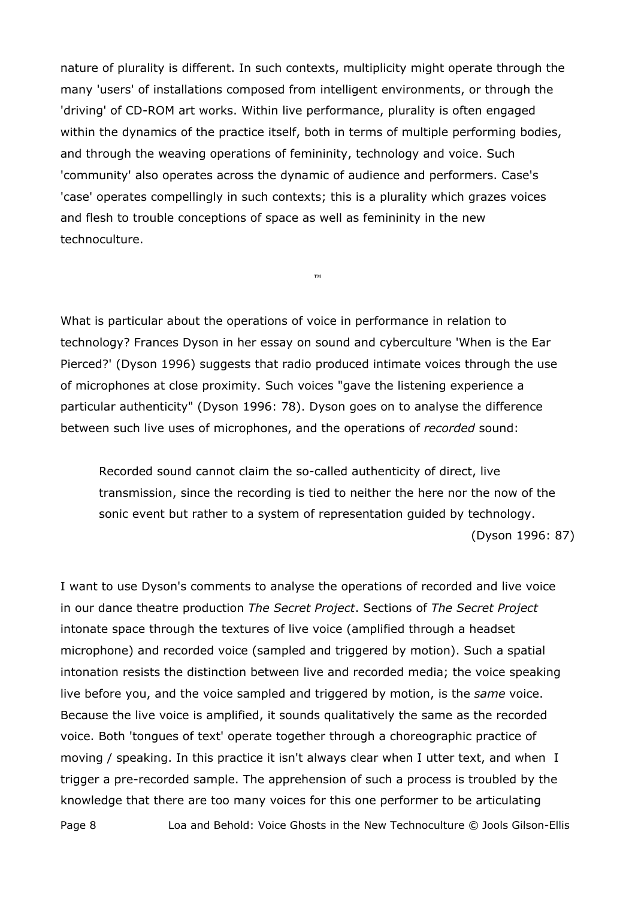nature of plurality is different. In such contexts, multiplicity might operate through the many 'users' of installations composed from intelligent environments, or through the 'driving' of CD-ROM art works. Within live performance, plurality is often engaged within the dynamics of the practice itself, both in terms of multiple performing bodies, and through the weaving operations of femininity, technology and voice. Such 'community' also operates across the dynamic of audience and performers. Case's 'case' operates compellingly in such contexts; this is a plurality which grazes voices and flesh to trouble conceptions of space as well as femininity in the new technoculture.

**TM** 

What is particular about the operations of voice in performance in relation to technology? Frances Dyson in her essay on sound and cyberculture 'When is the Ear Pierced?' (Dyson 1996) suggests that radio produced intimate voices through the use of microphones at close proximity. Such voices "gave the listening experience a particular authenticity" (Dyson 1996: 78). Dyson goes on to analyse the difference between such live uses of microphones, and the operations of *recorded* sound:

Recorded sound cannot claim the so-called authenticity of direct, live transmission, since the recording is tied to neither the here nor the now of the sonic event but rather to a system of representation guided by technology. (Dyson 1996: 87)

I want to use Dyson's comments to analyse the operations of recorded and live voice in our dance theatre production *The Secret Project*. Sections of *The Secret Project* intonate space through the textures of live voice (amplified through a headset microphone) and recorded voice (sampled and triggered by motion). Such a spatial intonation resists the distinction between live and recorded media; the voice speaking live before you, and the voice sampled and triggered by motion, is the *same* voice. Because the live voice is amplified, it sounds qualitatively the same as the recorded voice. Both 'tongues of text' operate together through a choreographic practice of moving / speaking. In this practice it isn't always clear when I utter text, and when I trigger a pre-recorded sample. The apprehension of such a process is troubled by the knowledge that there are too many voices for this one performer to be articulating

Page 8 Loa and Behold: Voice Ghosts in the New Technoculture © Jools Gilson-Ellis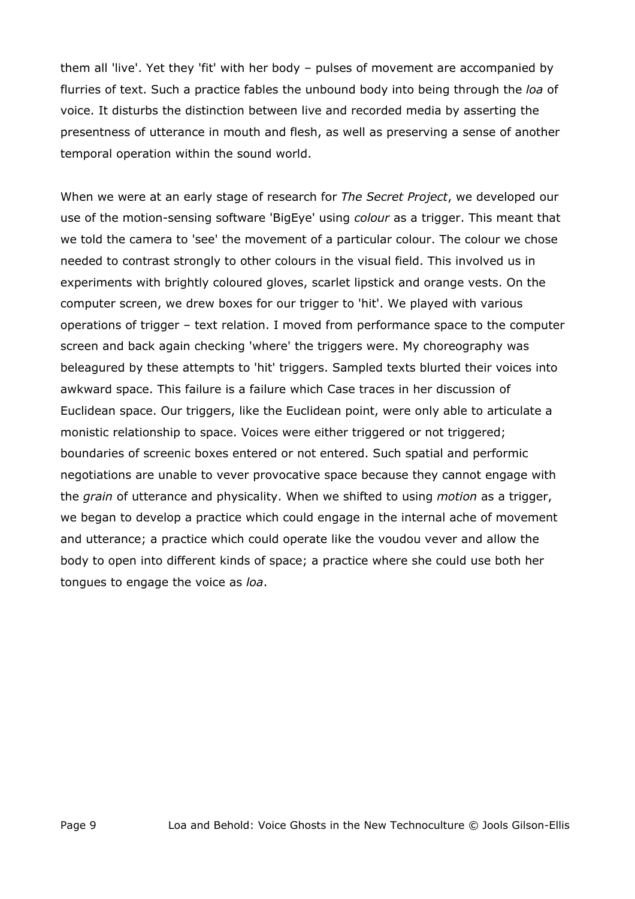them all 'live'. Yet they 'fit' with her body – pulses of movement are accompanied by flurries of text. Such a practice fables the unbound body into being through the *loa* of voice. It disturbs the distinction between live and recorded media by asserting the presentness of utterance in mouth and flesh, as well as preserving a sense of another temporal operation within the sound world.

When we were at an early stage of research for *The Secret Project*, we developed our use of the motion-sensing software 'BigEye' using *colour* as a trigger. This meant that we told the camera to 'see' the movement of a particular colour. The colour we chose needed to contrast strongly to other colours in the visual field. This involved us in experiments with brightly coloured gloves, scarlet lipstick and orange vests. On the computer screen, we drew boxes for our trigger to 'hit'. We played with various operations of trigger – text relation. I moved from performance space to the computer screen and back again checking 'where' the triggers were. My choreography was beleagured by these attempts to 'hit' triggers. Sampled texts blurted their voices into awkward space. This failure is a failure which Case traces in her discussion of Euclidean space. Our triggers, like the Euclidean point, were only able to articulate a monistic relationship to space. Voices were either triggered or not triggered; boundaries of screenic boxes entered or not entered. Such spatial and performic negotiations are unable to vever provocative space because they cannot engage with the *grain* of utterance and physicality. When we shifted to using *motion* as a trigger, we began to develop a practice which could engage in the internal ache of movement and utterance; a practice which could operate like the voudou vever and allow the body to open into different kinds of space; a practice where she could use both her tongues to engage the voice as *loa*.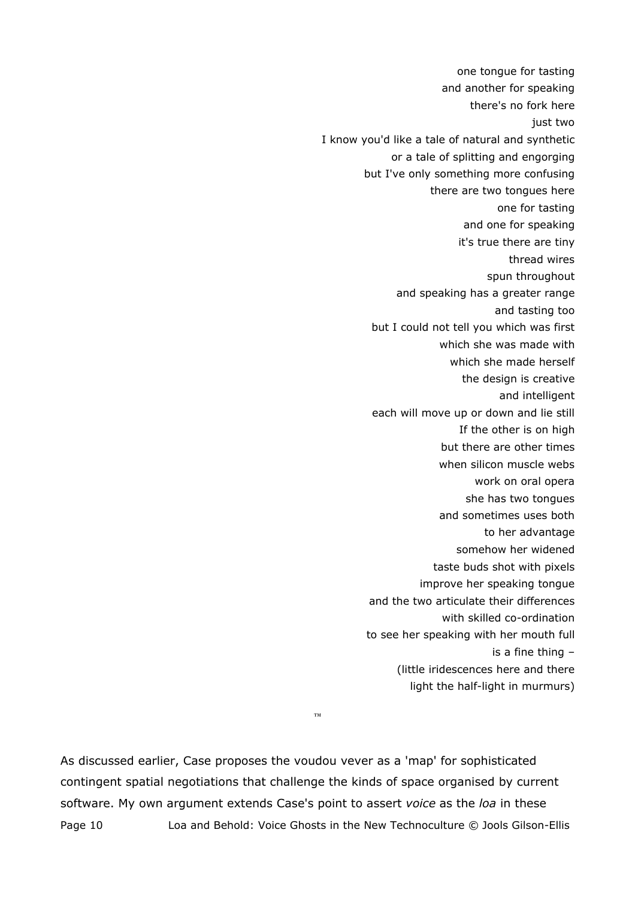one tongue for tasting and another for speaking there's no fork here just two I know you'd like a tale of natural and synthetic or a tale of splitting and engorging but I've only something more confusing there are two tongues here one for tasting and one for speaking it's true there are tiny thread wires spun throughout and speaking has a greater range and tasting too but I could not tell you which was first which she was made with which she made herself the design is creative and intelligent each will move up or down and lie still If the other is on high but there are other times when silicon muscle webs work on oral opera she has two tongues and sometimes uses both to her advantage somehow her widened taste buds shot with pixels improve her speaking tongue and the two articulate their differences with skilled co-ordination to see her speaking with her mouth full is a fine thing – (little iridescences here and there light the half-light in murmurs)

Page 10 Loa and Behold: Voice Ghosts in the New Technoculture © Jools Gilson-Ellis As discussed earlier, Case proposes the voudou vever as a 'map' for sophisticated contingent spatial negotiations that challenge the kinds of space organised by current software. My own argument extends Case's point to assert *voice* as the *loa* in these

**TM**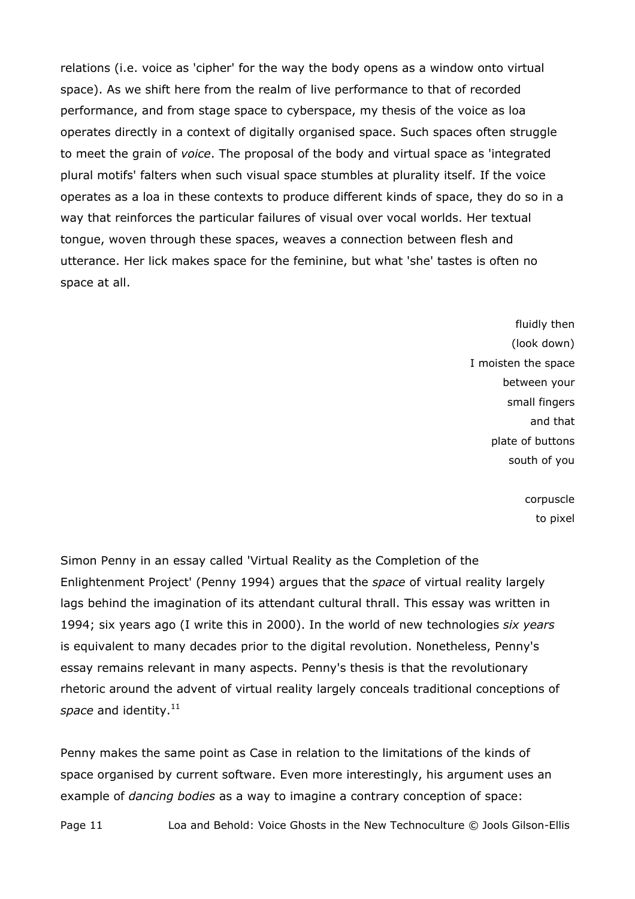relations (i.e. voice as 'cipher' for the way the body opens as a window onto virtual space). As we shift here from the realm of live performance to that of recorded performance, and from stage space to cyberspace, my thesis of the voice as loa operates directly in a context of digitally organised space. Such spaces often struggle to meet the grain of *voice*. The proposal of the body and virtual space as 'integrated plural motifs' falters when such visual space stumbles at plurality itself. If the voice operates as a loa in these contexts to produce different kinds of space, they do so in a way that reinforces the particular failures of visual over vocal worlds. Her textual tongue, woven through these spaces, weaves a connection between flesh and utterance. Her lick makes space for the feminine, but what 'she' tastes is often no space at all.

> fluidly then (look down) I moisten the space between your small fingers and that plate of buttons south of you

> > corpuscle to pixel

Simon Penny in an essay called 'Virtual Reality as the Completion of the Enlightenment Project' (Penny 1994) argues that the *space* of virtual reality largely lags behind the imagination of its attendant cultural thrall. This essay was written in 1994; six years ago (I write this in 2000). In the world of new technologies *six years* is equivalent to many decades prior to the digital revolution. Nonetheless, Penny's essay remains relevant in many aspects. Penny's thesis is that the revolutionary rhetoric around the advent of virtual reality largely conceals traditional conceptions of space and identity.<sup>11</sup>

Penny makes the same point as Case in relation to the limitations of the kinds of space organised by current software. Even more interestingly, his argument uses an example of *dancing bodies* as a way to imagine a contrary conception of space:

Page 11 Loa and Behold: Voice Ghosts in the New Technoculture © Jools Gilson-Ellis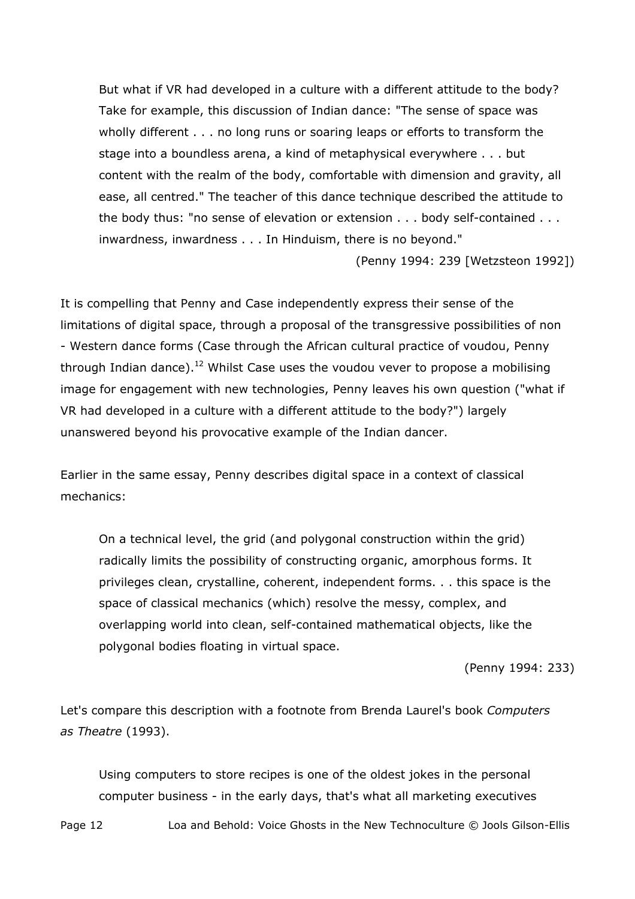But what if VR had developed in a culture with a different attitude to the body? Take for example, this discussion of Indian dance: "The sense of space was wholly different . . . no long runs or soaring leaps or efforts to transform the stage into a boundless arena, a kind of metaphysical everywhere . . . but content with the realm of the body, comfortable with dimension and gravity, all ease, all centred." The teacher of this dance technique described the attitude to the body thus: "no sense of elevation or extension . . . body self-contained . . . inwardness, inwardness . . . In Hinduism, there is no beyond."

(Penny 1994: 239 [Wetzsteon 1992])

It is compelling that Penny and Case independently express their sense of the limitations of digital space, through a proposal of the transgressive possibilities of non - Western dance forms (Case through the African cultural practice of voudou, Penny through Indian dance).<sup>12</sup> Whilst Case uses the voudou vever to propose a mobilising image for engagement with new technologies, Penny leaves his own question ("what if VR had developed in a culture with a different attitude to the body?") largely unanswered beyond his provocative example of the Indian dancer.

Earlier in the same essay, Penny describes digital space in a context of classical mechanics:

On a technical level, the grid (and polygonal construction within the grid) radically limits the possibility of constructing organic, amorphous forms. It privileges clean, crystalline, coherent, independent forms. . . this space is the space of classical mechanics (which) resolve the messy, complex, and overlapping world into clean, self-contained mathematical objects, like the polygonal bodies floating in virtual space.

(Penny 1994: 233)

Let's compare this description with a footnote from Brenda Laurel's book *Computers as Theatre* (1993).

Using computers to store recipes is one of the oldest jokes in the personal computer business - in the early days, that's what all marketing executives

Page 12 Loa and Behold: Voice Ghosts in the New Technoculture © Jools Gilson-Ellis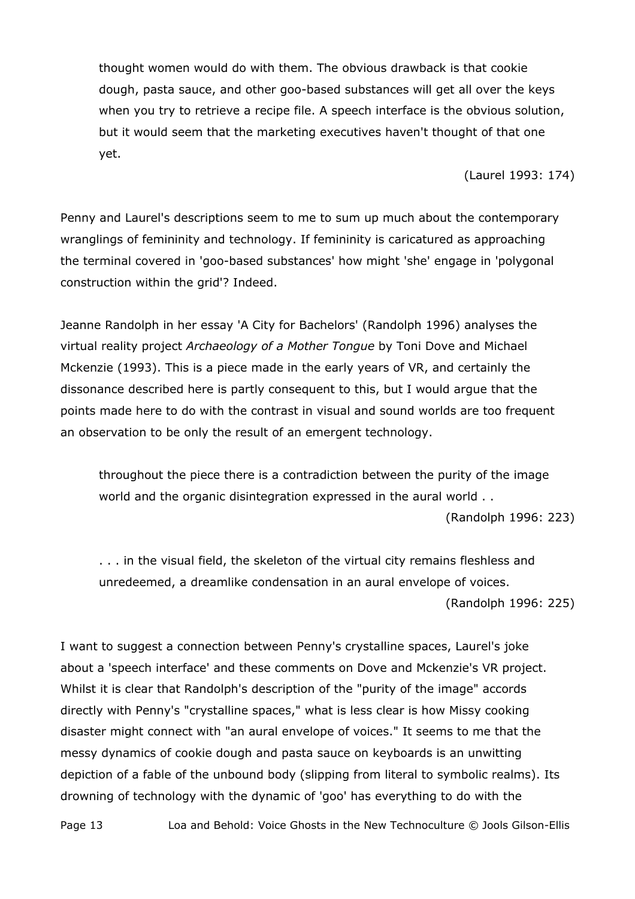thought women would do with them. The obvious drawback is that cookie dough, pasta sauce, and other goo-based substances will get all over the keys when you try to retrieve a recipe file. A speech interface is the obvious solution, but it would seem that the marketing executives haven't thought of that one yet.

(Laurel 1993: 174)

Penny and Laurel's descriptions seem to me to sum up much about the contemporary wranglings of femininity and technology. If femininity is caricatured as approaching the terminal covered in 'goo-based substances' how might 'she' engage in 'polygonal construction within the grid'? Indeed.

Jeanne Randolph in her essay 'A City for Bachelors' (Randolph 1996) analyses the virtual reality project *Archaeology of a Mother Tongue* by Toni Dove and Michael Mckenzie (1993). This is a piece made in the early years of VR, and certainly the dissonance described here is partly consequent to this, but I would argue that the points made here to do with the contrast in visual and sound worlds are too frequent an observation to be only the result of an emergent technology.

throughout the piece there is a contradiction between the purity of the image world and the organic disintegration expressed in the aural world . .

(Randolph 1996: 223)

. . . in the visual field, the skeleton of the virtual city remains fleshless and unredeemed, a dreamlike condensation in an aural envelope of voices. (Randolph 1996: 225)

I want to suggest a connection between Penny's crystalline spaces, Laurel's joke about a 'speech interface' and these comments on Dove and Mckenzie's VR project. Whilst it is clear that Randolph's description of the "purity of the image" accords directly with Penny's "crystalline spaces," what is less clear is how Missy cooking disaster might connect with "an aural envelope of voices." It seems to me that the messy dynamics of cookie dough and pasta sauce on keyboards is an unwitting depiction of a fable of the unbound body (slipping from literal to symbolic realms). Its drowning of technology with the dynamic of 'goo' has everything to do with the

Page 13 Loa and Behold: Voice Ghosts in the New Technoculture © Jools Gilson-Ellis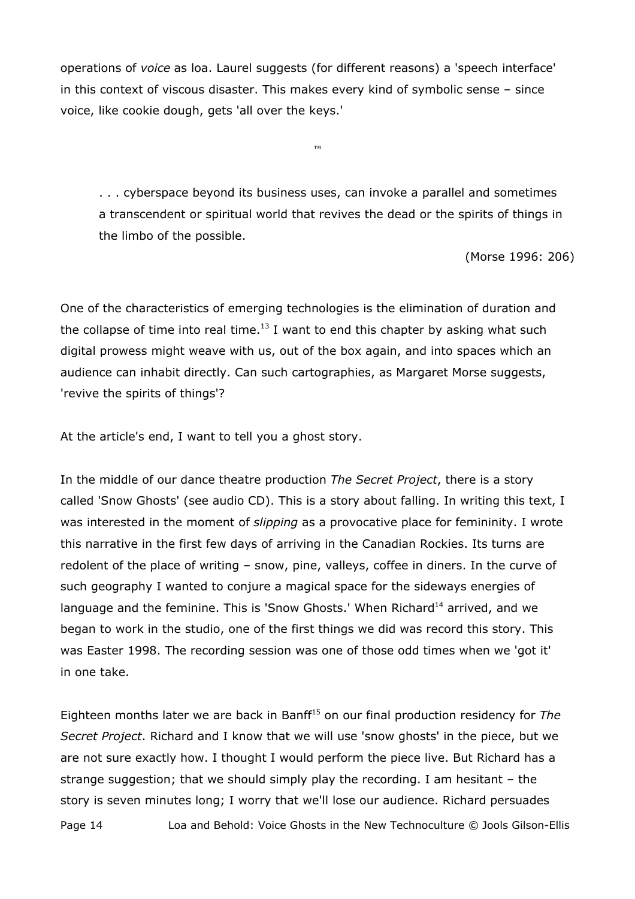operations of *voice* as loa. Laurel suggests (for different reasons) a 'speech interface' in this context of viscous disaster. This makes every kind of symbolic sense – since voice, like cookie dough, gets 'all over the keys.'

**TM** 

. . . cyberspace beyond its business uses, can invoke a parallel and sometimes a transcendent or spiritual world that revives the dead or the spirits of things in the limbo of the possible.

(Morse 1996: 206)

One of the characteristics of emerging technologies is the elimination of duration and the collapse of time into real time.<sup>13</sup> I want to end this chapter by asking what such digital prowess might weave with us, out of the box again, and into spaces which an audience can inhabit directly. Can such cartographies, as Margaret Morse suggests, 'revive the spirits of things'?

At the article's end, I want to tell you a ghost story.

In the middle of our dance theatre production *The Secret Project*, there is a story called 'Snow Ghosts' (see audio CD). This is a story about falling. In writing this text, I was interested in the moment of *slipping* as a provocative place for femininity. I wrote this narrative in the first few days of arriving in the Canadian Rockies. Its turns are redolent of the place of writing – snow, pine, valleys, coffee in diners. In the curve of such geography I wanted to conjure a magical space for the sideways energies of language and the feminine. This is 'Snow Ghosts.' When Richard<sup>14</sup> arrived, and we began to work in the studio, one of the first things we did was record this story. This was Easter 1998. The recording session was one of those odd times when we 'got it' in one take.

Eighteen months later we are back in Banff<sup>15</sup> on our final production residency for The *Secret Project*. Richard and I know that we will use 'snow ghosts' in the piece, but we are not sure exactly how. I thought I would perform the piece live. But Richard has a strange suggestion; that we should simply play the recording. I am hesitant – the story is seven minutes long; I worry that we'll lose our audience. Richard persuades

Page 14 Loa and Behold: Voice Ghosts in the New Technoculture © Jools Gilson-Ellis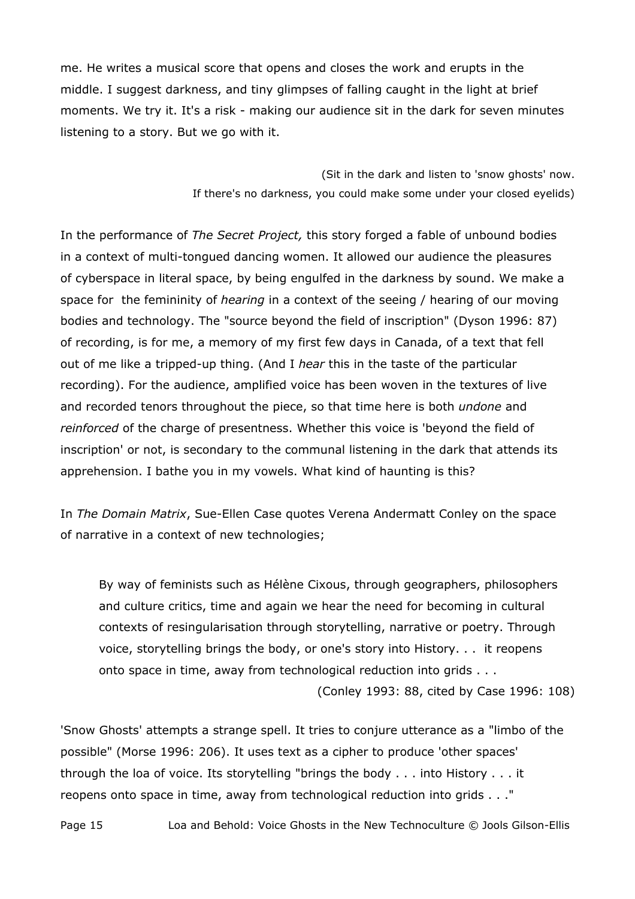me. He writes a musical score that opens and closes the work and erupts in the middle. I suggest darkness, and tiny glimpses of falling caught in the light at brief moments. We try it. It's a risk - making our audience sit in the dark for seven minutes listening to a story. But we go with it.

> (Sit in the dark and listen to 'snow ghosts' now. If there's no darkness, you could make some under your closed eyelids)

In the performance of *The Secret Project,* this story forged a fable of unbound bodies in a context of multi-tongued dancing women. It allowed our audience the pleasures of cyberspace in literal space, by being engulfed in the darkness by sound. We make a space for the femininity of *hearing* in a context of the seeing / hearing of our moving bodies and technology. The "source beyond the field of inscription" (Dyson 1996: 87) of recording, is for me, a memory of my first few days in Canada, of a text that fell out of me like a tripped-up thing. (And I *hear* this in the taste of the particular recording). For the audience, amplified voice has been woven in the textures of live and recorded tenors throughout the piece, so that time here is both *undone* and *reinforced* of the charge of presentness. Whether this voice is 'beyond the field of inscription' or not, is secondary to the communal listening in the dark that attends its apprehension. I bathe you in my vowels. What kind of haunting is this?

In *The Domain Matrix*, Sue-Ellen Case quotes Verena Andermatt Conley on the space of narrative in a context of new technologies;

By way of feminists such as Hélène Cixous, through geographers, philosophers and culture critics, time and again we hear the need for becoming in cultural contexts of resingularisation through storytelling, narrative or poetry. Through voice, storytelling brings the body, or one's story into History. . . it reopens onto space in time, away from technological reduction into grids . . .

(Conley 1993: 88, cited by Case 1996: 108)

'Snow Ghosts' attempts a strange spell. It tries to conjure utterance as a "limbo of the possible" (Morse 1996: 206). It uses text as a cipher to produce 'other spaces' through the loa of voice. Its storytelling "brings the body . . . into History . . . it reopens onto space in time, away from technological reduction into grids . . ."

Page 15 Loa and Behold: Voice Ghosts in the New Technoculture © Jools Gilson-Ellis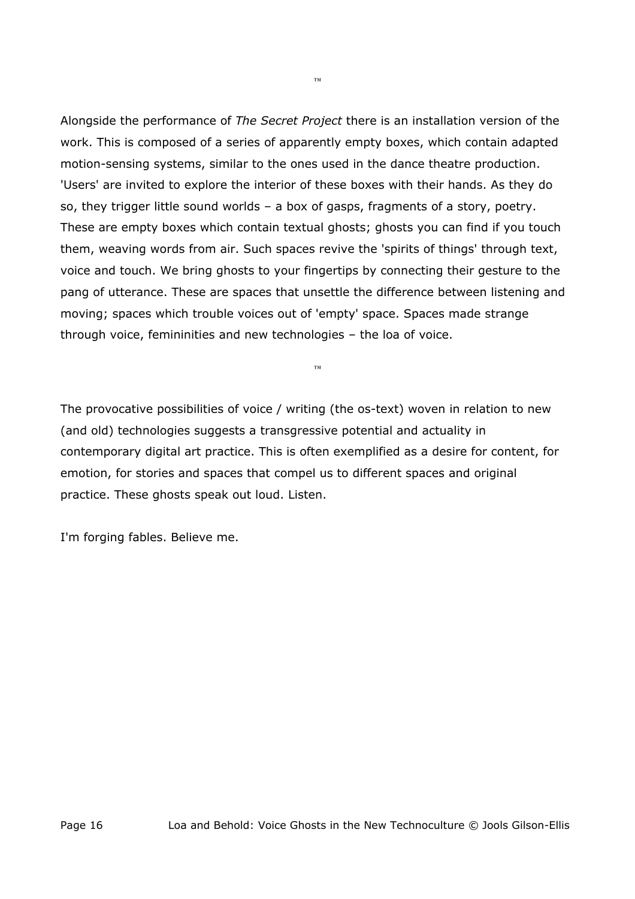Alongside the performance of *The Secret Project* there is an installation version of the work. This is composed of a series of apparently empty boxes, which contain adapted motion-sensing systems, similar to the ones used in the dance theatre production. 'Users' are invited to explore the interior of these boxes with their hands. As they do so, they trigger little sound worlds – a box of gasps, fragments of a story, poetry. These are empty boxes which contain textual ghosts; ghosts you can find if you touch them, weaving words from air. Such spaces revive the 'spirits of things' through text, voice and touch. We bring ghosts to your fingertips by connecting their gesture to the pang of utterance. These are spaces that unsettle the difference between listening and moving; spaces which trouble voices out of 'empty' space. Spaces made strange through voice, femininities and new technologies – the loa of voice.

The provocative possibilities of voice / writing (the os-text) woven in relation to new (and old) technologies suggests a transgressive potential and actuality in contemporary digital art practice. This is often exemplified as a desire for content, for emotion, for stories and spaces that compel us to different spaces and original practice. These ghosts speak out loud. Listen.

**TM** 

I'm forging fables. Believe me.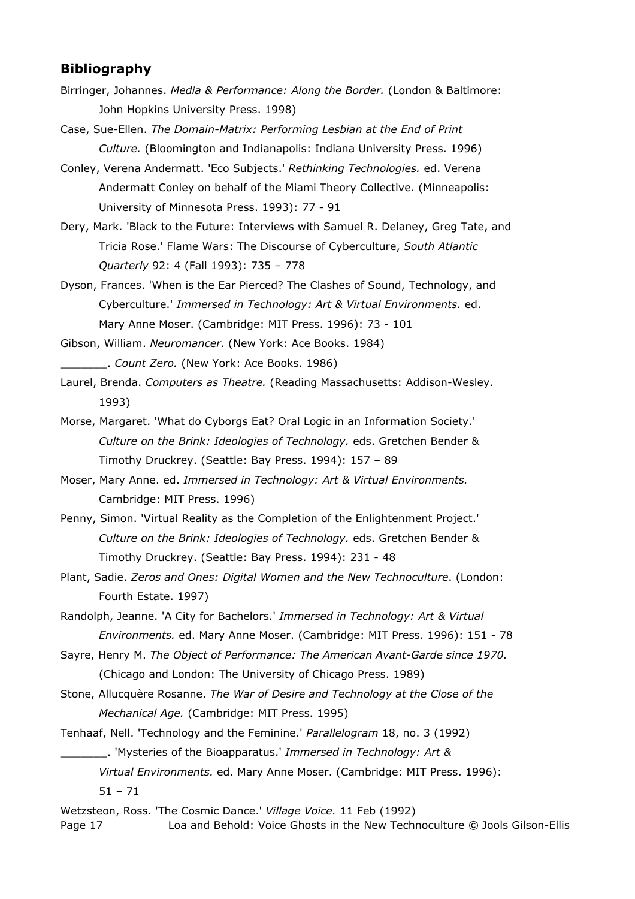## **Bibliography**

- Birringer, Johannes. *Media & Performance: Along the Border.* (London & Baltimore: John Hopkins University Press. 1998)
- Case, Sue-Ellen. *The Domain-Matrix: Performing Lesbian at the End of Print Culture.* (Bloomington and Indianapolis: Indiana University Press. 1996)
- Conley, Verena Andermatt. 'Eco Subjects.' *Rethinking Technologies.* ed. Verena Andermatt Conley on behalf of the Miami Theory Collective. (Minneapolis: University of Minnesota Press. 1993): 77 - 91
- Dery, Mark. 'Black to the Future: Interviews with Samuel R. Delaney, Greg Tate, and Tricia Rose.' Flame Wars: The Discourse of Cyberculture, *South Atlantic Quarterly* 92: 4 (Fall 1993): 735 – 778
- Dyson, Frances. 'When is the Ear Pierced? The Clashes of Sound, Technology, and Cyberculture.' *Immersed in Technology: Art & Virtual Environments.* ed. Mary Anne Moser. (Cambridge: MIT Press. 1996): 73 - 101

Gibson, William. *Neuromancer*. (New York: Ace Books. 1984) \_\_\_\_\_\_\_. *Count Zero.* (New York: Ace Books. 1986)

- Laurel, Brenda. *Computers as Theatre.* (Reading Massachusetts: Addison-Wesley. 1993)
- Morse, Margaret. 'What do Cyborgs Eat? Oral Logic in an Information Society.' *Culture on the Brink: Ideologies of Technology.* eds. Gretchen Bender & Timothy Druckrey. (Seattle: Bay Press. 1994): 157 – 89
- Moser, Mary Anne. ed. *Immersed in Technology: Art & Virtual Environments.* Cambridge: MIT Press. 1996)
- Penny, Simon. 'Virtual Reality as the Completion of the Enlightenment Project.' *Culture on the Brink: Ideologies of Technology.* eds. Gretchen Bender & Timothy Druckrey. (Seattle: Bay Press. 1994): 231 - 48
- Plant, Sadie. *Zeros and Ones: Digital Women and the New Technoculture*. (London: Fourth Estate. 1997)
- Randolph, Jeanne. 'A City for Bachelors.' *Immersed in Technology: Art & Virtual Environments.* ed. Mary Anne Moser. (Cambridge: MIT Press. 1996): 151 - 78
- Sayre, Henry M. *The Object of Performance: The American Avant-Garde since 1970.* (Chicago and London: The University of Chicago Press. 1989)
- Stone, Allucquère Rosanne. *The War of Desire and Technology at the Close of the Mechanical Age.* (Cambridge: MIT Press. 1995)
- Tenhaaf, Nell. 'Technology and the Feminine.' *Parallelogram* 18, no. 3 (1992)

\_\_\_\_\_\_\_. 'Mysteries of the Bioapparatus.' *Immersed in Technology: Art &*

*Virtual Environments.* ed. Mary Anne Moser. (Cambridge: MIT Press. 1996):  $51 - 71$ 

Wetzsteon, Ross. 'The Cosmic Dance.' *Village Voice.* 11 Feb (1992)

Page 17 Loa and Behold: Voice Ghosts in the New Technoculture © Jools Gilson-Ellis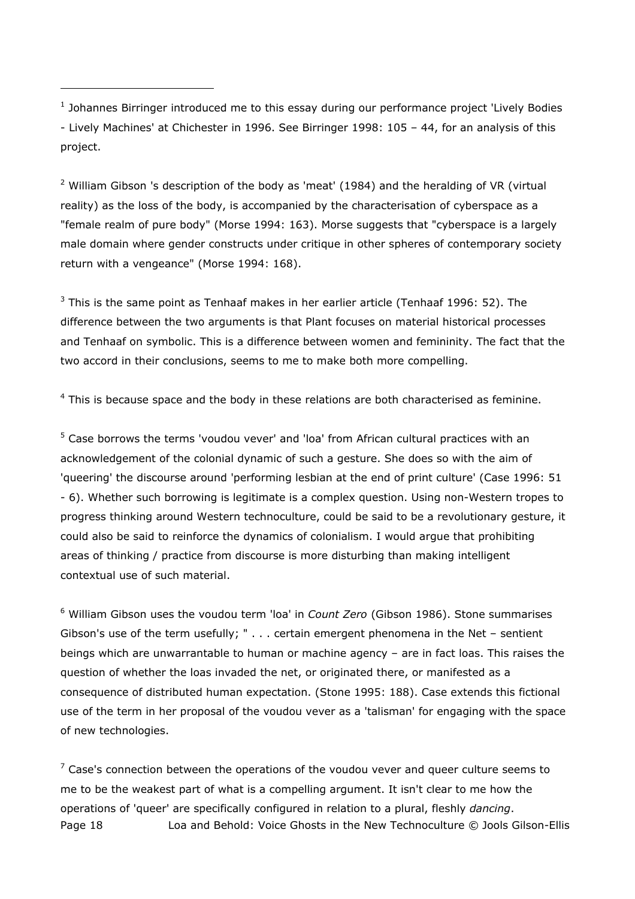<sup>1</sup> Johannes Birringer introduced me to this essay during our performance project 'Lively Bodies - Lively Machines' at Chichester in 1996. See Birringer 1998: 105 – 44, for an analysis of this project.

j

<sup>2</sup> William Gibson 's description of the body as 'meat' (1984) and the heralding of VR (virtual reality) as the loss of the body, is accompanied by the characterisation of cyberspace as a "female realm of pure body" (Morse 1994: 163). Morse suggests that "cyberspace is a largely male domain where gender constructs under critique in other spheres of contemporary society return with a vengeance" (Morse 1994: 168).

 $3$  This is the same point as Tenhaaf makes in her earlier article (Tenhaaf 1996: 52). The difference between the two arguments is that Plant focuses on material historical processes and Tenhaaf on symbolic. This is a difference between women and femininity. The fact that the two accord in their conclusions, seems to me to make both more compelling.

 $4$  This is because space and the body in these relations are both characterised as feminine.

<sup>5</sup> Case borrows the terms 'voudou vever' and 'loa' from African cultural practices with an acknowledgement of the colonial dynamic of such a gesture. She does so with the aim of 'queering' the discourse around 'performing lesbian at the end of print culture' (Case 1996: 51 - 6). Whether such borrowing is legitimate is a complex question. Using non-Western tropes to progress thinking around Western technoculture, could be said to be a revolutionary gesture, it could also be said to reinforce the dynamics of colonialism. I would argue that prohibiting areas of thinking / practice from discourse is more disturbing than making intelligent contextual use of such material.

6 William Gibson uses the voudou term 'loa' in *Count Zero* (Gibson 1986). Stone summarises Gibson's use of the term usefully; " . . . certain emergent phenomena in the Net – sentient beings which are unwarrantable to human or machine agency – are in fact loas. This raises the question of whether the loas invaded the net, or originated there, or manifested as a consequence of distributed human expectation. (Stone 1995: 188). Case extends this fictional use of the term in her proposal of the voudou vever as a 'talisman' for engaging with the space of new technologies.

Page 18 Loa and Behold: Voice Ghosts in the New Technoculture © Jools Gilson-Ellis  $7$  Case's connection between the operations of the voudou vever and queer culture seems to me to be the weakest part of what is a compelling argument. It isn't clear to me how the operations of 'queer' are specifically configured in relation to a plural, fleshly *dancing*.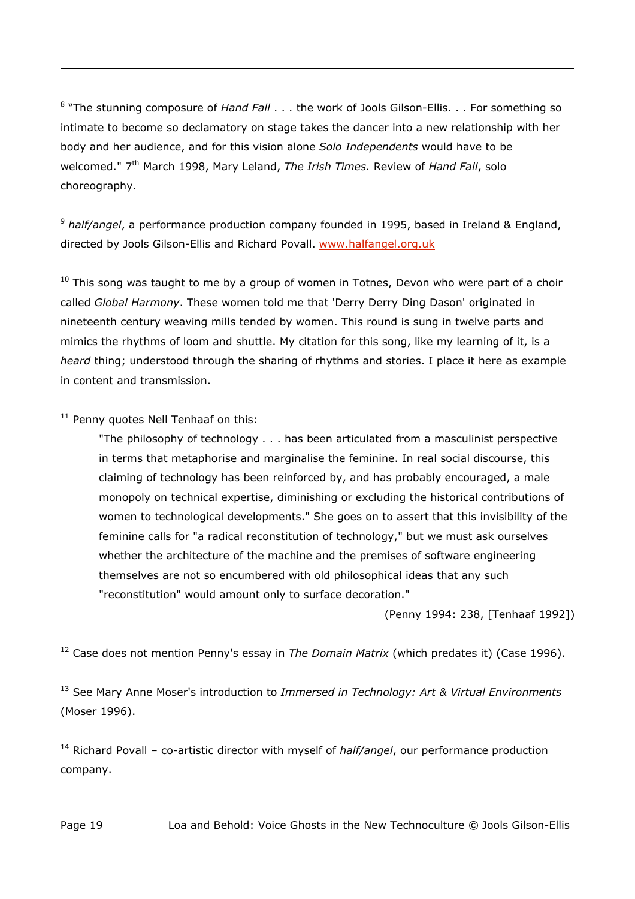<sup>8</sup> "The stunning composure of *Hand Fall* . . . the work of Jools Gilson-Ellis. . . For something so intimate to become so declamatory on stage takes the dancer into a new relationship with her body and her audience, and for this vision alone *Solo Independents* would have to be welcomed." 7th March 1998, Mary Leland, *The Irish Times.* Review of *Hand Fall*, solo choreography.

<sup>9</sup> *half/angel*, a performance production company founded in 1995, based in Ireland & England, directed by Jools Gilson-Ellis and Richard Povall. www.halfangel.org.uk

<sup>10</sup> This song was taught to me by a group of women in Totnes, Devon who were part of a choir called *Global Harmony*. These women told me that 'Derry Derry Ding Dason' originated in nineteenth century weaving mills tended by women. This round is sung in twelve parts and mimics the rhythms of loom and shuttle. My citation for this song, like my learning of it, is a *heard* thing; understood through the sharing of rhythms and stories. I place it here as example in content and transmission.

<sup>11</sup> Penny quotes Nell Tenhaaf on this:

j

"The philosophy of technology . . . has been articulated from a masculinist perspective in terms that metaphorise and marginalise the feminine. In real social discourse, this claiming of technology has been reinforced by, and has probably encouraged, a male monopoly on technical expertise, diminishing or excluding the historical contributions of women to technological developments." She goes on to assert that this invisibility of the feminine calls for "a radical reconstitution of technology," but we must ask ourselves whether the architecture of the machine and the premises of software engineering themselves are not so encumbered with old philosophical ideas that any such "reconstitution" would amount only to surface decoration."

(Penny 1994: 238, [Tenhaaf 1992])

<sup>12</sup> Case does not mention Penny's essay in *The Domain Matrix* (which predates it) (Case 1996).

13 See Mary Anne Moser's introduction to *Immersed in Technology: Art & Virtual Environments* (Moser 1996).

<sup>14</sup> Richard Povall - co-artistic director with myself of *half/angel*, our performance production company.

Page 19 Loa and Behold: Voice Ghosts in the New Technoculture © Jools Gilson-Ellis